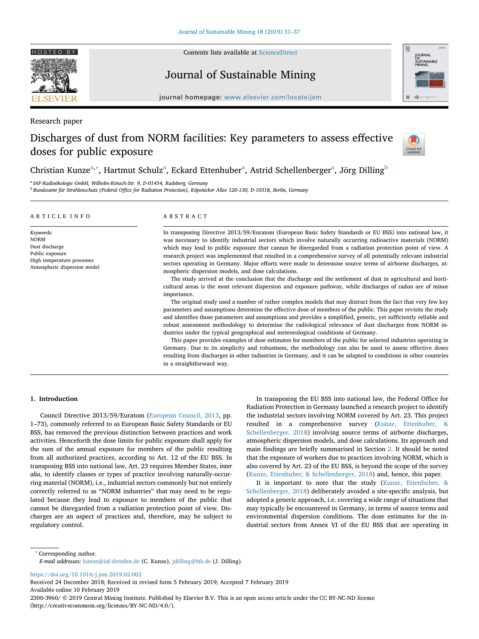

Contents lists available at [ScienceDirect](http://www.sciencedirect.com/science/journal/23003960)

Journal of Sustainable Mining



journal homepage: [www.elsevier.com/locate/jsm](https://www.elsevier.com/locate/jsm)

Research paper

# Discharges of dust from NORM facilities: Key parameters to assess effective doses for public exposure



Christi[a](#page-0-0)n Kunze<sup>a,</sup>\*, Hartmut Schulz<sup>a</sup>, Eckard Ettenhu[b](#page-0-2)er<sup>a</sup>, Astrid Schellenberger<sup>a</sup>, Jörg Dilling<sup>b</sup>

<span id="page-0-0"></span><sup>a</sup> *IAF-Radioökologie GmbH, Wilhelm-Rönsch-Str. 9, D-01454, Radeberg, Germany*

<span id="page-0-2"></span><sup>b</sup> *Bundesamt für Strahlenschutz (Federal Office for Radiation Protection), Köpenicker Allee 120-130, D-10318, Berlin, Germany*

## ARTICLE INFO

*Keywords:* NORM Dust discharge Public exposure High temperature processes Atmospheric dispersion model

# ABSTRACT

In transposing Directive 2013/59/Euratom (European Basic Safety Standards or EU BSS) into national law, it was necessary to identify industrial sectors which involve naturally occurring radioactive materials (NORM) which may lead to public exposure that cannot be disregarded from a radiation protection point of view. A research project was implemented that resulted in a comprehensive survey of all potentially relevant industrial sectors operating in Germany. Major efforts were made to determine source terms of airborne discharges, atmospheric dispersion models, and dose calculations.

The study arrived at the conclusion that the discharge and the settlement of dust in agricultural and horticultural areas is the most relevant dispersion and exposure pathway, while discharges of radon are of minor importance.

The original study used a number of rather complex models that may distract from the fact that very few key parameters and assumptions determine the effective dose of members of the public. This paper revisits the study and identifies those parameters and assumptions and provides a simplified, generic, yet sufficiently reliable and robust assessment methodology to determine the radiological relevance of dust discharges from NORM industries under the typical geographical and meteorological conditions of Germany.

This paper provides examples of dose estimates for members of the public for selected industries operating in Germany. Due to its simplicity and robustness, the methodology can also be used to assess effective doses resulting from discharges in other industries in Germany, and it can be adapted to conditions in other countries in a straightforward way.

# **1. Introduction**

Council Directive 2013/59/Euratom ([European Council, 2013](#page-6-0), pp. 1–73), commonly referred to as European Basic Safety Standards or EU BSS, has removed the previous distinction between practices and work activities. Henceforth the dose limits for public exposure shall apply for the sum of the annual exposure for members of the public resulting from all authorized practices, according to Art. 12 of the EU BSS. In transposing BSS into national law, Art. 23 requires Member States, *inter alia*, to identify classes or types of practice involving naturally-occurring material (NORM), i.e., industrial sectors commonly but not entirely correctly referred to as "NORM industries" that may need to be regulated because they lead to exposure to members of the public that cannot be disregarded from a radiation protection point of view. Discharges are an aspect of practices and, therefore, may be subject to regulatory control.

In transposing the EU BSS into national law, the Federal Office for Radiation Protection in Germany launched a research project to identify the industrial sectors involving NORM covered by Art. 23. This project resulted in a comprehensive survey [\(Kunze, Ettenhuber, &](#page-6-1) [Schellenberger, 2018](#page-6-1)) involving source terms of airborne discharges, atmospheric dispersion models, and dose calculations. Its approach and main findings are briefly summarised in Section [2.](#page-1-0) It should be noted that the exposure of workers due to practices involving NORM, which is also covered by Art. 23 of the EU BSS, is beyond the scope of the survey ([Kunze, Ettenhuber, & Schellenberger, 2018](#page-6-1)) and, hence, this paper.

It is important to note that the study [\(Kunze, Ettenhuber, &](#page-6-1) [Schellenberger, 2018\)](#page-6-1) deliberately avoided a site-specific analysis, but adopted a generic approach, i.e. covering a wide range of situations that may typically be encountered in Germany, in terms of source terms and environmental dispersion conditions. The dose estimates for the industrial sectors from Annex VI of the EU BSS that are operating in

<span id="page-0-1"></span><sup>∗</sup> Corresponding author.

*E-mail addresses:* [kunze@iaf-dresden.de](mailto:kunze@iaf-dresden.de) (C. Kunze), [jdilling@bfs.de](mailto:jdilling@bfs.de) (J. Dilling).

<https://doi.org/10.1016/j.jsm.2019.02.002>

Received 24 December 2018; Received in revised form 5 February 2019; Accepted 7 February 2019 Available online 10 February 2019

2300-3960/ © 2019 Central Mining Institute. Published by Elsevier B.V. This is an open access article under the CC BY-NC-ND license (http://creativecommons.org/licenses/BY-NC-ND/4.0/).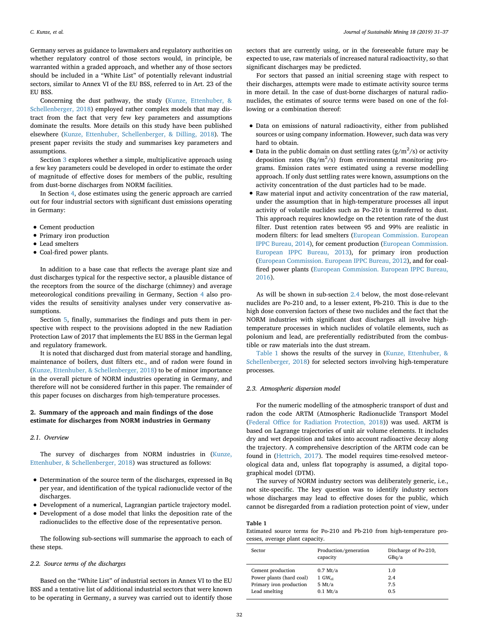Germany serves as guidance to lawmakers and regulatory authorities on whether regulatory control of those sectors would, in principle, be warranted within a graded approach, and whether any of those sectors should be included in a "White List" of potentially relevant industrial sectors, similar to Annex VI of the EU BSS, referred to in Art. 23 of the EU BSS.

Concerning the dust pathway, the study ([Kunze, Ettenhuber, &](#page-6-1) [Schellenberger, 2018\)](#page-6-1) employed rather complex models that may distract from the fact that very few key parameters and assumptions dominate the results. More details on this study have been published elsewhere [\(Kunze, Ettenhuber, Schellenberger, & Dilling, 2018\)](#page-6-2). The present paper revisits the study and summarises key parameters and assumptions.

Section [3](#page-3-0) explores whether a simple, multiplicative approach using a few key parameters could be developed in order to estimate the order of magnitude of effective doses for members of the public, resulting from dust-borne discharges from NORM facilities.

In Section [4,](#page-4-0) dose estimates using the generic approach are carried out for four industrial sectors with significant dust emissions operating in Germany:

- Cement production
- Primary iron production
- Lead smelters
- Coal-fired power plants.

In addition to a base case that reflects the average plant size and dust discharges typical for the respective sector, a plausible distance of the receptors from the source of the discharge (chimney) and average meteorological conditions prevailing in Germany, Section [4](#page-4-0) also provides the results of sensitivity analyses under very conservative assumptions.

Section [5,](#page-5-0) finally, summarises the findings and puts them in perspective with respect to the provisions adopted in the new Radiation Protection Law of 2017 that implements the EU BSS in the German legal and regulatory framework.

It is noted that discharged dust from material storage and handling, maintenance of boilers, dust filters etc., and of radon were found in ([Kunze, Ettenhuber, & Schellenberger, 2018\)](#page-6-1) to be of minor importance in the overall picture of NORM industries operating in Germany, and therefore will not be considered further in this paper. The remainder of this paper focuses on discharges from high-temperature processes.

# <span id="page-1-0"></span>**2. Summary of the approach and main findings of the dose estimate for discharges from NORM industries in Germany**

### *2.1. Overview*

The survey of discharges from NORM industries in ([Kunze,](#page-6-1) [Ettenhuber, & Schellenberger, 2018\)](#page-6-1) was structured as follows:

- Determination of the source term of the discharges, expressed in Bq per year, and identification of the typical radionuclide vector of the discharges.
- Development of a numerical, Lagrangian particle trajectory model.
- Development of a dose model that links the deposition rate of the radionuclides to the effective dose of the representative person.

The following sub-sections will summarise the approach to each of these steps.

#### *2.2. Source terms of the discharges*

Based on the "White List" of industrial sectors in Annex VI to the EU BSS and a tentative list of additional industrial sectors that were known to be operating in Germany, a survey was carried out to identify those sectors that are currently using, or in the foreseeable future may be expected to use, raw materials of increased natural radioactivity, so that significant discharges may be predicted.

For sectors that passed an initial screening stage with respect to their discharges, attempts were made to estimate activity source terms in more detail. In the case of dust-borne discharges of natural radionuclides, the estimates of source terms were based on one of the following or a combination thereof:

- Data on emissions of natural radioactivity, either from published sources or using company information. However, such data was very hard to obtain.
- Data in the public domain on dust settling rates  $(g/m^2/s)$  or activity deposition rates  $(Bq/m^2/s)$  from environmental monitoring programs. Emission rates were estimated using a reverse modelling approach. If only dust settling rates were known, assumptions on the activity concentration of the dust particles had to be made.
- Raw material input and activity concentration of the raw material, under the assumption that in high-temperature processes all input activity of volatile nuclides such as Po-210 is transferred to dust. This approach requires knowledge on the retention rate of the dust filter. Dust retention rates between 95 and 99% are realistic in modern filters: for lead smelters ([European Commission. European](#page-6-3) [IPPC Bureau, 2014\)](#page-6-3), for cement production ([European Commission.](#page-6-4) [European IPPC Bureau, 2013](#page-6-4)), for primary iron production [\(European Commission. European IPPC Bureau, 2012](#page-6-5)), and for coalfired power plants ([European Commission. European IPPC Bureau,](#page-6-6) [2016](#page-6-6)).

As will be shown in sub-section [2.4](#page-2-0) below, the most dose-relevant nuclides are Po-210 and, to a lesser extent, Pb-210. This is due to the high dose conversion factors of these two nuclides and the fact that the NORM industries with significant dust discharges all involve hightemperature processes in which nuclides of volatile elements, such as polonium and lead, are preferentially redistributed from the combustible or raw materials into the dust stream.

[Table 1](#page-1-1) shows the results of the survey in [\(Kunze, Ettenhuber, &](#page-6-1) [Schellenberger, 2018](#page-6-1)) for selected sectors involving high-temperature processes.

# *2.3. Atmospheric dispersion model*

For the numeric modelling of the atmospheric transport of dust and radon the code ARTM (Atmospheric Radionuclide Transport Model ([Federal Office for Radiation Protection, 2018\)](#page-6-7)) was used. ARTM is based on Lagrange trajectories of unit air volume elements. It includes dry and wet deposition and takes into account radioactive decay along the trajectory. A comprehensive description of the ARTM code can be found in ([Hettrich, 2017\)](#page-6-8). The model requires time-resolved meteorological data and, unless flat topography is assumed, a digital topographical model (DTM).

The survey of NORM industry sectors was deliberately generic, i.e., not site-specific. The key question was to identify industry sectors whose discharges may lead to effective doses for the public, which cannot be disregarded from a radiation protection point of view, under

## <span id="page-1-1"></span>**Table 1**

Estimated source terms for Po-210 and Pb-210 from high-temperature processes, average plant capacity.

| Sector                   | Production/generation<br>capacity | Discharge of Po-210,<br>GBq/a |
|--------------------------|-----------------------------------|-------------------------------|
| Cement production        | $0.7$ Mt/a                        | 1.0                           |
| Power plants (hard coal) | $1 \text{ GW}_{\text{el}}$        | 2.4                           |
| Primary iron production  | $5 \mathrm{Mt/a}$                 | 7.5                           |
| Lead smelting            | $0.1$ Mt/a                        | 0.5                           |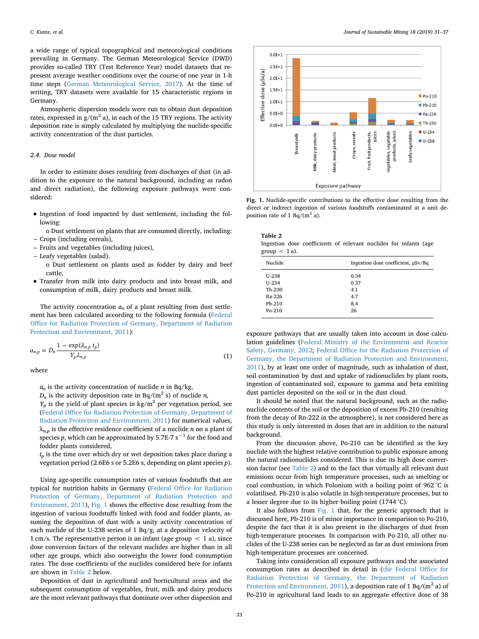a wide range of typical topographical and meteorological conditions prevailing in Germany. The German Meteorological Service (DWD) provides so-called TRY (Test Reference Year) model datasets that represent average weather conditions over the course of one year in 1-h time steps ([German Meteorological Service, 2017](#page-6-9)). At the time of writing, TRY datasets were available for 15 characteristic regions in Germany.

Atmospheric dispersion models were run to obtain dust deposition rates, expressed in  $g/(m^2 a)$ , in each of the 15 TRY regions. The activity deposition rate is simply calculated by multiplying the nuclide-specific activity concentration of the dust particles.

## <span id="page-2-0"></span>*2.4. Dose model*

In order to estimate doses resulting from discharges of dust (in addition to the exposure to the natural background, including as radon and direct radiation), the following exposure pathways were considered:

• Ingestion of food impacted by dust settlement, including the following:

o Dust settlement on plants that are consumed directly, including: – Crops (including cereals),

- Fruits and vegetables (including juices),
- Leafy vegetables (salad).
	- o Dust settlement on plants used as fodder by dairy and beef cattle,
- Transfer from milk into dairy products and into breast milk, and consumption of milk, dairy products and breast milk.

The activity concentration  $a_n$  of a plant resulting from dust settlement has been calculated according to the following formula [\(Federal](#page-6-10) [Office for Radiation Protection of Germany, Department of Radiation](#page-6-10) [Protection and Environment, 2011\)](#page-6-10):

$$
a_{n,p} = D_n \frac{1 - \exp(\lambda_{n,p} t_p)}{Y_p \lambda_{n,p}}
$$
\n<sup>(1)</sup>

where

 $a_n$  is the activity concentration of nuclide *n* in Bq/kg,

 $D_n$  is the activity deposition rate in Bq/(m<sup>2</sup> s) of nuclide *n*,

 $Y_p$  is the yield of plant species in kg/m<sup>2</sup> per vegetation period, see [\(Federal Office for Radiation Protection of Germany, Department of](#page-6-10) [Radiation Protection and Environment, 2011\)](#page-6-10) for numerical values, *λn,p* is the effective residence coefficient of a nuclide *n* on a plant of species *p*, which can be approximated by 5.7E-7 s<sup>−1</sup> for the food and fodder plants considered,

 $t_p$  is the time over which dry or wet deposition takes place during a vegetation period (2.6E6 s or 5.2E6 s, depending on plant species *p*).

Using age-specific consumption rates of various foodstuffs that are typical for nutrition habits in Germany ([Federal Office for Radiation](#page-6-10) [Protection of Germany, Department of Radiation Protection and](#page-6-10) [Environment, 2011\)](#page-6-10), [Fig. 1](#page-2-1) shows the effective dose resulting from the ingestion of various foodstuffs linked with food and fodder plants, assuming the deposition of dust with a unity activity concentration of each nuclide of the U-238 series of 1 Bq/g, at a deposition velocity of 1 cm/s. The representative person is an infant (age group  $\lt$  1 a), since dose conversion factors of the relevant nuclides are higher than in all other age groups, which also outweighs the lower food consumption rates. The dose coefficients of the nuclides considered here for infants are shown in [Table 2](#page-2-2) below.

Deposition of dust in agricultural and horticultural areas and the subsequent consumption of vegetables, fruit, milk and dairy products are the most relevant pathways that dominate over other dispersion and

<span id="page-2-1"></span>

**Fig. 1.** Nuclide-specific contributions to the effective dose resulting from the direct or indirect ingestion of various foodstuffs contaminated at a unit deposition rate of 1 Bq/( $m<sup>2</sup>$  a).

<span id="page-2-2"></span>

| Table 2         |                                                                   |  |  |  |
|-----------------|-------------------------------------------------------------------|--|--|--|
|                 | Ingestion dose coefficients of relevant nuclides for infants (age |  |  |  |
| group $< 1a$ ). |                                                                   |  |  |  |

| Nuclide  | Ingestion dose coefficient, µSv/Bq |
|----------|------------------------------------|
| $U-238$  | 0.34                               |
| $U-234$  | 0.37                               |
| Th-230   | 4.1                                |
| Ra-226   | 4.7                                |
| $Pb-210$ | 8.4                                |
| $Po-210$ | 26                                 |

exposure pathways that are usually taken into account in dose calculation guidelines ([Federal Ministry of the Environment and Reactor](#page-6-11) [Safety, Germany, 2012;](#page-6-11) [Federal Office for the Radiation Protection of](#page-6-10) [Germany, the Department of Radiation Protection and Environment,](#page-6-10) [2011\)](#page-6-10), by at least one order of magnitude, such as inhalation of dust, soil contamination by dust and uptake of radionuclides by plant roots, ingestion of contaminated soil, exposure to gamma and beta emitting dust particles deposited on the soil or in the dust cloud.

It should be noted that the natural background, such as the radionuclide contents of the soil or the deposition of excess Pb-210 (resulting from the decay of Rn-222 in the atmosphere), is not considered here as this study is only interested in doses that are in addition to the natural background.

From the discussion above, Po-210 can be identified as the key nuclide with the highest relative contribution to public exposure among the natural radionuclides considered. This is due its high dose conversion factor (see [Table 2](#page-2-2)) and to the fact that virtually all relevant dust emissions occur from high temperature processes, such as smelting or coal combustion, in which Polonium with a boiling point of 962 °C is volatilised. Pb-210 is also volatile in high-temperature processes, but to a lesser degree due to its higher boiling point (1744 °C).

It also follows from [Fig. 1](#page-2-1) that, for the generic approach that is discussed here, Pb-210 is of minor importance in comparison to Po-210, despite the fact that it is also present in the discharges of dust from high-temperature processes. In comparison with Po-210, all other nuclides of the U-238 series can be neglected as far as dust emissions from high-temperature processes are concerned.

Taking into consideration all exposure pathways and the associated consumption rates as described in detail in [\(the Federal Office for](#page-6-10) [Radiation Protection of Germany, the Department of Radiation](#page-6-10) [Protection and Environment, 2011\)](#page-6-10), a deposition rate of 1 Bq/( $m<sup>2</sup>$  a) of Po-210 in agricultural land leads to an aggregate effective dose of 38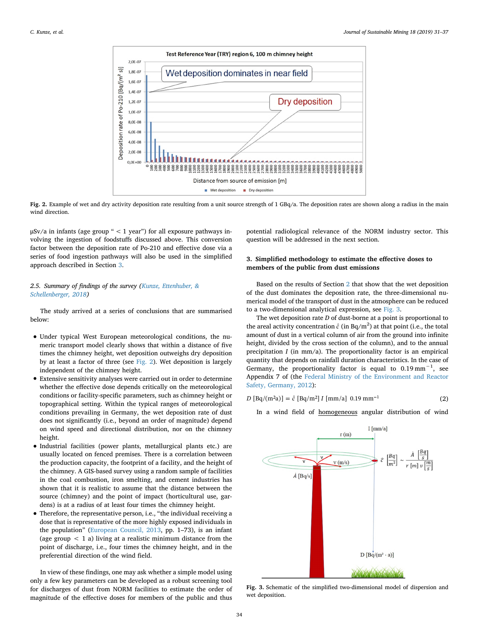<span id="page-3-1"></span>

**Fig. 2.** Example of wet and dry activity deposition rate resulting from a unit source strength of 1 GBq/a. The deposition rates are shown along a radius in the main wind direction.

 $\mu$ Sv/a in infants (age group " < 1 year") for all exposure pathways involving the ingestion of foodstuffs discussed above. This conversion factor between the deposition rate of Po-210 and effective dose via a series of food ingestion pathways will also be used in the simplified approach described in Section [3.](#page-3-0)

# *2.5. Summary of findings of the survey [\(Kunze, Ettenhuber, &](#page-6-1) [Schellenberger, 2018\)](#page-6-1)*

The study arrived at a series of conclusions that are summarised below:

- Under typical West European meteorological conditions, the numeric transport model clearly shows that within a distance of five times the chimney height, wet deposition outweighs dry deposition by at least a factor of three (see [Fig. 2](#page-3-1)). Wet deposition is largely independent of the chimney height.
- Extensive sensitivity analyses were carried out in order to determine whether the effective dose depends critically on the meteorological conditions or facility-specific parameters, such as chimney height or topographical setting. Within the typical ranges of meteorological conditions prevailing in Germany, the wet deposition rate of dust does not significantly (i.e., beyond an order of magnitude) depend on wind speed and directional distribution, nor on the chimney height.
- Industrial facilities (power plants, metallurgical plants etc.) are usually located on fenced premises. There is a correlation between the production capacity, the footprint of a facility, and the height of the chimney. A GIS-based survey using a random sample of facilities in the coal combustion, iron smelting, and cement industries has shown that it is realistic to assume that the distance between the source (chimney) and the point of impact (horticultural use, gardens) is at a radius of at least four times the chimney height.
- Therefore, the representative person, i.e., "the individual receiving a dose that is representative of the more highly exposed individuals in the population" [\(European Council, 2013](#page-6-0), pp. 1–73), is an infant (age group  $\langle 1$  a) living at a realistic minimum distance from the point of discharge, i.e., four times the chimney height, and in the preferential direction of the wind field.

In view of these findings, one may ask whether a simple model using only a few key parameters can be developed as a robust screening tool for discharges of dust from NORM facilities to estimate the order of magnitude of the effective doses for members of the public and thus potential radiological relevance of the NORM industry sector. This question will be addressed in the next section.

# <span id="page-3-0"></span>**3. Simplified methodology to estimate the effective doses to members of the public from dust emissions**

Based on the results of Section [2](#page-1-0) that show that the wet deposition of the dust dominates the deposition rate, the three-dimensional numerical model of the transport of dust in the atmosphere can be reduced to a two-dimensional analytical expression, see [Fig. 3](#page-3-2).

The wet deposition rate *D* of dust-borne at a point is proportional to the areal activity concentration  $\hat{c}$  (in Bq/m<sup>2</sup>) at that point (i.e., the total amount of dust in a vertical column of air from the ground into infinite height, divided by the cross section of the column), and to the annual precipitation *I* (in mm/a). The proportionality factor is an empirical quantity that depends on rainfall duration characteristics. In the case of Germany, the proportionality factor is equal to  $0.19 \text{ mm}^{-1}$ , see Appendix 7 of (the [Federal Ministry of the Environment and Reactor](#page-6-11) [Safety, Germany, 2012](#page-6-11)):

 $D [Bq/(m^2a)] = \hat{c} [Bq/m^2] I [mm/a] 0.19 mm^{-1}$  (2)

In a wind field of homogeneous angular distribution of wind

<span id="page-3-2"></span>

**Fig. 3.** Schematic of the simplified two-dimensional model of dispersion and wet deposition.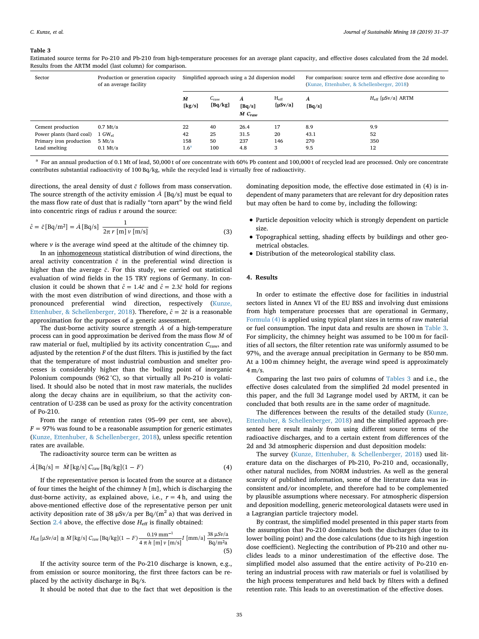#### <span id="page-4-2"></span>**Table 3**

Estimated source terms for Po-210 and Pb-210 from high-temperature processes for an average plant capacity, and effective doses calculated from the 2d model. Results from the ARTM model (last column) for comparison.

| Sector                   | Production or generation capacity<br>of an average facility | Simplified approach using a 2d dispersion model |                             |                                    |                               | For comparison: source term and effective dose according to<br>(Kunze, Ettenhuber, & Schellenberger, 2018) |                            |  |
|--------------------------|-------------------------------------------------------------|-------------------------------------------------|-----------------------------|------------------------------------|-------------------------------|------------------------------------------------------------------------------------------------------------|----------------------------|--|
|                          |                                                             | M<br>[kg/s]                                     | $C_{\text{raw}}$<br>[Bq/kg] | A<br>[Bq/s]<br>$\dot{M}$ $C_{raw}$ | $H_{\rm eff}$<br>$[\mu Sv/a]$ | A<br>[Bq/s]                                                                                                | $H_{\rm eff}$ [µSv/a] ARTM |  |
| Cement production        | $0.7$ Mt/a                                                  | 22                                              | 40                          | 26.4                               | 17                            | 8.9                                                                                                        | 9.9                        |  |
| Power plants (hard coal) | $1 \text{ GW}_{\text{el}}$                                  | 42                                              | 25                          | 31.5                               | 20                            | 43.1                                                                                                       | 52                         |  |
| Primary iron production  | 5 Mt/a                                                      | 158                                             | 50                          | 237                                | 146                           | 270                                                                                                        | 350                        |  |
| Lead smelting            | $0.1$ Mt/a                                                  | 1.6 <sup>a</sup>                                | 100                         | 4.8                                | 3                             | 9.5                                                                                                        | 12                         |  |

<span id="page-4-3"></span> $^{\text{a}}$  For an annual production of 0.1 Mt of lead, 50,000 t of ore concentrate with 60% Pb content and 100,000 t of recycled lead are processed. Only ore concentrate contributes substantial radioactivity of 100 Bq/kg, while the recycled lead is virtually free of radioactivity.

directions, the areal density of dust  $\bar{c}$  follows from mass conservation. The source strength of the activity emission *A* [Bq/s] must be equal to the mass flow rate of dust that is radially "torn apart" by the wind field into concentric rings of radius r around the source:

$$
\hat{c} = \bar{c} \left[ \text{Bq/m}^2 \right] = \dot{A} \left[ \text{Bq/s} \right] \frac{1}{2\pi r \left[ \text{m} \right] v \left[ \text{m/s} \right]}
$$
(3)

where  $\nu$  is the average wind speed at the altitude of the chimney tip.

In an inhomogeneous statistical distribution of wind directions, the areal activity concentration  $\hat{c}$  in the preferential wind direction is higher than the average  $\bar{c}$ . For this study, we carried out statistical evaluation of wind fields in the 15 TRY regions of Germany. In conclusion it could be shown that  $\hat{c} = 1.4\bar{c}$  and  $\hat{c} = 2.3\bar{c}$  hold for regions with the most even distribution of wind directions, and those with a pronounced preferential wind direction, respectively ([Kunze,](#page-6-1) [Ettenhuber, & Schellenberger, 2018\)](#page-6-1). Therefore,  $\hat{c} = 2\bar{c}$  is a reasonable approximation for the purposes of a generic assessment.

The dust-borne activity source strength *A* of a high-temperature process can in good approximation be derived from the mass flow *M* of raw material or fuel, multiplied by its activity concentration  $C_{\text{raw}}$ , and adjusted by the retention *F* of the dust filters. This is justified by the fact that the temperature of most industrial combustion and smelter processes is considerably higher than the boiling point of inorganic Polonium compounds (962 °C), so that virtually all Po-210 is volatilised. It should also be noted that in most raw materials, the nuclides along the decay chains are in equilibrium, so that the activity concentration of U-238 can be used as proxy for the activity concentration of Po-210.

From the range of retention rates (95–99 per cent, see above),  $F = 97\%$  was found to be a reasonable assumption for generic estimates ([Kunze, Ettenhuber, & Schellenberger, 2018\)](#page-6-1), unless specific retention rates are available.

<span id="page-4-1"></span>The radioactivity source term can be written as

$$
A [Bq/s] = M [kg/s] Craw [Bq/kg](1 - F)
$$
 (4)

If the representative person is located from the source at a distance of four times the height of the chimney *h* [m], which is discharging the dust-borne activity, as explained above, i.e.,  $r = 4$  h, and using the above-mentioned effective dose of the representative person per unit activity deposition rate of 38  $\mu$ Sv/a per Bq/(m<sup>2</sup> a) that was derived in Section [2.4](#page-2-0) above, the effective dose  $H_{\text{eff}}$  is finally obtained:

$$
H_{\text{eff}}\left[\mu S \nu/a\right] \cong \dot{M}\left[\text{kg/s}\right]C_{\text{raw}}\left[\text{Bq/kg}\right](1 - F) \frac{0.19 \text{ mm}^{-1}}{4 \pi h \left[\text{m}\right] \nu \left[\text{m/s}\right]} I\left[\text{mm/a}\right] \frac{38 \,\mu\text{S} \nu/\text{a}}{\text{Bq/m}^2 \text{a}}\tag{5}
$$

If the activity source term of the Po-210 discharge is known, e.g., from emission or source monitoring, the first three factors can be replaced by the activity discharge in Bq/s.

It should be noted that due to the fact that wet deposition is the

dominating deposition mode, the effective dose estimated in (4) is independent of many parameters that are relevant for dry deposition rates but may often be hard to come by, including the following:

- Particle deposition velocity which is strongly dependent on particle size.
- Topographical setting, shading effects by buildings and other geometrical obstacles.
- Distribution of the meteorological stability class.

## <span id="page-4-0"></span>**4. Results**

In order to estimate the effective dose for facilities in industrial sectors listed in Annex VI of the EU BSS and involving dust emissions from high temperature processes that are operational in Germany, [Formula \(4\)](#page-4-1) is applied using typical plant sizes in terms of raw material or fuel consumption. The input data and results are shown in [Table 3](#page-4-2). For simplicity, the chimney height was assumed to be 100 m for facilities of all sectors, the filter retention rate was uniformly assumed to be 97%, and the average annual precipitation in Germany to be 850 mm. At a 100 m chimney height, the average wind speed is approximately 4 m/s.

Comparing the last two pairs of columns of [Tables 3](#page-4-2) and i.e., the effective doses calculated from the simplified 2d model presented in this paper, and the full 3d Lagrange model used by ARTM, it can be concluded that both results are in the same order of magnitude.

The differences between the results of the detailed study ([Kunze,](#page-6-1) [Ettenhuber, & Schellenberger, 2018](#page-6-1)) and the simplified approach presented here result mainly from using different source terms of the radioactive discharges, and to a certain extent from differences of the 2d and 3d atmospheric dispersion and dust deposition models:

The survey [\(Kunze, Ettenhuber, & Schellenberger, 2018\)](#page-6-1) used literature data on the discharges of Pb-210, Po-210 and, occasionally, other natural nuclides, from NORM industries. As well as the general scarcity of published information, some of the literature data was inconsistent and/or incomplete, and therefore had to be complemented by plausible assumptions where necessary. For atmospheric dispersion and deposition modelling, generic meteorological datasets were used in a Lagrangian particle trajectory model.

By contrast, the simplified model presented in this paper starts from the assumption that Po-210 dominates both the discharges (due to its lower boiling point) and the dose calculations (due to its high ingestion dose coefficient). Neglecting the contribution of Pb-210 and other nuclides leads to a minor underestimation of the effective dose. The simplified model also assumed that the entire activity of Po-210 entering an industrial process with raw materials or fuel is volatilised by the high process temperatures and held back by filters with a defined retention rate. This leads to an overestimation of the effective doses.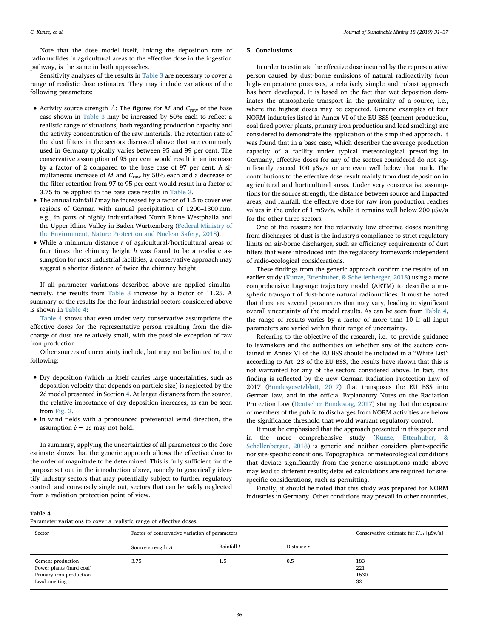Note that the dose model itself, linking the deposition rate of radionuclides in agricultural areas to the effective dose in the ingestion pathway, is the same in both approaches.

Sensitivity analyses of the results in [Table 3](#page-4-2) are necessary to cover a range of realistic dose estimates. They may include variations of the following parameters:

- Activity source strength  $\vec{A}$ : The figures for  $\vec{M}$  and  $C_{\text{raw}}$  of the base case shown in [Table 3](#page-4-2) may be increased by 50% each to reflect a realistic range of situations, both regarding production capacity and the activity concentration of the raw materials. The retention rate of the dust filters in the sectors discussed above that are commonly used in Germany typically varies between 95 and 99 per cent. The conservative assumption of 95 per cent would result in an increase by a factor of 2 compared to the base case of 97 per cent. A simultaneous increase of *M* and *C*raw by 50% each and a decrease of the filter retention from 97 to 95 per cent would result in a factor of 3.75 to be applied to the base case results in [Table 3](#page-4-2).
- The annual rainfall *<sup>I</sup>* may be increased by a factor of 1.5 to cover wet regions of German with annual precipitation of 1200–1300 mm, e.g., in parts of highly industrialised North Rhine Westphalia and the Upper Rhine Valley in Baden Württemberg [\(Federal Ministry of](#page-6-12) [the Environment, Nature Protection and Nuclear Safety, 2018\)](#page-6-12).
- While a minimum distance *<sup>r</sup>* of agricultural/horticultural areas of four times the chimney height *h* was found to be a realistic assumption for most industrial facilities, a conservative approach may suggest a shorter distance of twice the chimney height.

If all parameter variations described above are applied simultaneously, the results from [Table 3](#page-4-2) increase by a factor of 11.25. A summary of the results for the four industrial sectors considered above is shown in [Table 4:](#page-5-1)

[Table 4](#page-5-1) shows that even under very conservative assumptions the effective doses for the representative person resulting from the discharge of dust are relatively small, with the possible exception of raw iron production.

Other sources of uncertainty include, but may not be limited to, the following:

- Dry deposition (which in itself carries large uncertainties, such as deposition velocity that depends on particle size) is neglected by the 2d model presented in Section [4](#page-4-0). At larger distances from the source, the relative importance of dry deposition increases, as can be seen from [Fig. 2](#page-3-1).
- In wind fields with a pronounced preferential wind direction, the assumption  $\hat{c} = 2\bar{c}$  may not hold.

In summary, applying the uncertainties of all parameters to the dose estimate shows that the generic approach allows the effective dose to the order of magnitude to be determined. This is fully sufficient for the purpose set out in the introduction above, namely to generically identify industry sectors that may potentially subject to further regulatory control, and conversely single out, sectors that can be safely neglected from a radiation protection point of view.

#### <span id="page-5-0"></span>**5. Conclusions**

In order to estimate the effective dose incurred by the representative person caused by dust-borne emissions of natural radioactivity from high-temperature processes, a relatively simple and robust approach has been developed. It is based on the fact that wet deposition dominates the atmospheric transport in the proximity of a source, i.e., where the highest doses may be expected. Generic examples of four NORM industries listed in Annex VI of the EU BSS (cement production, coal fired power plants, primary iron production and lead smelting) are considered to demonstrate the application of the simplified approach. It was found that in a base case, which describes the average production capacity of a facility under typical meteorological prevailing in Germany, effective doses for any of the sectors considered do not significantly exceed 100 μSv/a or are even well below that mark. The contributions to the effective dose result mainly from dust deposition in agricultural and horticultural areas. Under very conservative assumptions for the source strength, the distance between source and impacted areas, and rainfall, the effective dose for raw iron production reaches values in the order of 1 mSv/a, while it remains well below 200 μSv/a for the other three sectors.

One of the reasons for the relatively low effective doses resulting from discharges of dust is the industry's compliance to strict regulatory limits on air-borne discharges, such as efficiency requirements of dust filters that were introduced into the regulatory framework independent of radio-ecological considerations.

These findings from the generic approach confirm the results of an earlier study ([Kunze, Ettenhuber, & Schellenberger, 2018](#page-6-1)) using a more comprehensive Lagrange trajectory model (ARTM) to describe atmospheric transport of dust-borne natural radionuclides. It must be noted that there are several parameters that may vary, leading to significant overall uncertainty of the model results. As can be seen from [Table 4](#page-5-1), the range of results varies by a factor of more than 10 if all input parameters are varied within their range of uncertainty.

Referring to the objective of the research, i.e., to provide guidance to lawmakers and the authorities on whether any of the sectors contained in Annex VI of the EU BSS should be included in a "White List" according to Art. 23 of the EU BSS, the results have shown that this is not warranted for any of the sectors considered above. In fact, this finding is reflected by the new German Radiation Protection Law of 2017 [\(Bundesgesetzblatt, 2017](#page-6-13)) that transposes the EU BSS into German law, and in the official Explanatory Notes on the Radiation Protection Law ([Deutscher Bundestag, 2017](#page-6-14)) stating that the exposure of members of the public to discharges from NORM activities are below the significance threshold that would warrant regulatory control.

It must be emphasised that the approach presented in this paper and in the more comprehensive study [\(Kunze, Ettenhuber, &](#page-6-1) [Schellenberger, 2018\)](#page-6-1) is generic and neither considers plant-specific nor site-specific conditions. Topographical or meteorological conditions that deviate significantly from the generic assumptions made above may lead to different results; detailed calculations are required for sitespecific considerations, such as permitting.

Finally, it should be noted that this study was prepared for NORM industries in Germany. Other conditions may prevail in other countries,

#### <span id="page-5-1"></span>**Table 4**

Parameter variations to cover a realistic range of effective doses

| Sector                                                                                    | Factor of conservative variation of parameters | Conservative estimate for $H_{\text{eff}}$ [µSv/a] |              |                          |
|-------------------------------------------------------------------------------------------|------------------------------------------------|----------------------------------------------------|--------------|--------------------------|
|                                                                                           | Source strength $\vec{A}$                      | Rainfall I                                         | Distance $r$ |                          |
| Cement production<br>Power plants (hard coal)<br>Primary iron production<br>Lead smelting | 3.75                                           | 1.5                                                | 0.5          | 183<br>221<br>1630<br>32 |